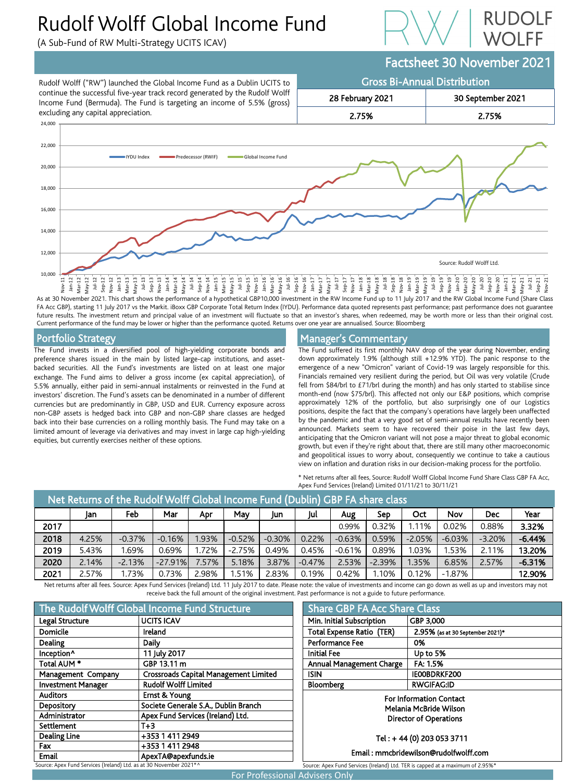# Rudolf Wolff Global Income Fund

(A Sub-Fund of RW Multi-Strategy UCITS ICAV)



# Factsheet 30 November 2021



As at 30 November 2021. This chart shows the performance of a hypothetical GBP10,000 investment in the RW Income Fund up to 11 July 2017 and the RW Global Income Fund (Share Class FA Acc GBP), starting 11 July 2017 vs the Markit. iBoxx GBP Corporate Total Return Index (IYDU). Performance data quoted represents past performance; past performance does not guarantee future results. The investment return and principal value of an investment will fluctuate so that an investor's shares, when redeemed, may be worth more or less than their original cost. Current performance of the fund may be lower or higher than the performance quoted. Returns over one year are annualised. Source: Bloomberg

## Portfolio Strategy

The Fund invests in a diversified pool of high-yielding corporate bonds and preference shares issued in the main by listed large-cap institutions, and assetbacked securities. All the Fund's investments are listed on at least one major exchange. The Fund aims to deliver a gross income (ex capital appreciation), of 5.5% annually, either paid in semi-annual instalments or reinvested in the Fund at investors' discretion. The Fund's assets can be denominated in a number of different currencies but are predominantly in GBP, USD and EUR. Currency exposure across non-GBP assets is hedged back into GBP and non-GBP share classes are hedged back into their base currencies on a rolling monthly basis. The Fund may take on a limited amount of leverage via derivatives and may invest in large cap high-yielding equities, but currently exercises neither of these options.

## Manager's Commentary

The Fund suffered its first monthly NAV drop of the year during November, ending down approximately 1.9% (although still +12.9% YTD). The panic response to the emergence of a new "Omicron" variant of Covid-19 was largely responsible for this. Financials remained very resilient during the period, but Oil was very volatile (Crude fell from \$84/brl to £71/brl during the month) and has only started to stabilise since month-end (now \$75/brl). This affected not only our E&P positions, which comprise approximately 12% of the portfolio, but also surprisingly one of our Logistics positions, despite the fact that the company's operations have largely been unaffected by the pandemic and that a very good set of semi-annual results have recently been announced. Markets seem to have recovered their poise in the last few days, anticipating that the Omicron variant will not pose a major threat to global economic growth, but even if they're right about that, there are still many other macroeconomic and geopolitical issues to worry about, consequently we continue to take a cautious view on inflation and duration risks in our decision-making process for the portfolio.

\* Net returns after all fees, Source: Rudolf Wolff Global Income Fund Share Class GBP FA Acc, Apex Fund Services (Ireland) Limited 01/11/21 to 30/11/21

| Net Returns of the Rudolf Wolff Global Income Fund (Dublin) GBP FA share class |       |          |           |       |          |          |          |          |          |          |            |            |          |
|--------------------------------------------------------------------------------|-------|----------|-----------|-------|----------|----------|----------|----------|----------|----------|------------|------------|----------|
|                                                                                | Jan   | Feb      | Mar       | Apr   | May      | Jun      | Jul      | Aug      | Sep      | Oct      | <b>Nov</b> | <b>Dec</b> | Year     |
| 2017                                                                           |       |          |           |       |          |          |          | 0.99%    | 0.32%    | .11%     | 0.02%      | 0.88%      | 3.32%    |
| 2018                                                                           | 4.25% | $-0.37%$ | $-0.16%$  | 1.93% | $-0.52%$ | $-0.30%$ | 0.22%    | $-0.63%$ | 0.59%    | $-2.05%$ | $-6.03%$   | $-3.20%$   | $-6.44%$ |
| 2019                                                                           | 5.43% | .69%     | 0.69%     | 1.72% | $-2.75%$ | 0.49%    | 0.45%    | $-0.61%$ | 0.89%    | .03%     | 1.53%      | 2.11%      | 13.20%   |
| 2020                                                                           | 2.14% | $-2.13%$ | $-27.91%$ | 7.57% | 5.18%    | 3.87%    | $-0.47%$ | 2.53%    | $-2.39%$ | 1.35%    | 6.85%      | 2.57%      | $-6.31%$ |
| 2021                                                                           | 2.57% | .73%     | 0.73%     | 2.98% | .51%     | 2.83%    | 0.19%    | 0.42%    | .10%     | 0.12%    | $-1.87\%$  |            | 12.90%   |

Net returns after all fees. Source: Apex Fund Services (Ireland) Ltd. 11 July 2017 to date. Please note: the value of investments and income can go down as well as up and investors may not receive back the full amount of the original investment. Past performance is not a guide to future performance.

| The Rudolf Wolff Global Income Fund Structure                      |                                              |  |  |  |  |
|--------------------------------------------------------------------|----------------------------------------------|--|--|--|--|
| Legal Structure                                                    | <b>UCITS ICAV</b>                            |  |  |  |  |
| Domicile                                                           | Ireland                                      |  |  |  |  |
| Dealing                                                            | Daily                                        |  |  |  |  |
| Inception <sup>^</sup>                                             | 11 July 2017                                 |  |  |  |  |
| Total AUM <sup>*</sup>                                             | GBP 13.11 m                                  |  |  |  |  |
| Management Company                                                 | <b>Crossroads Capital Management Limited</b> |  |  |  |  |
| <b>Investment Manager</b>                                          | <b>Rudolf Wolff Limited</b>                  |  |  |  |  |
| <b>Auditors</b>                                                    | Ernst & Young                                |  |  |  |  |
| Depository                                                         | Societe Generale S.A., Dublin Branch         |  |  |  |  |
| Administrator                                                      | Apex Fund Services (Ireland) Ltd.            |  |  |  |  |
| Settlement                                                         | $T+3$                                        |  |  |  |  |
| <b>Dealing Line</b>                                                | +353 1 411 2949                              |  |  |  |  |
| Fax                                                                | +353 1 411 2948                              |  |  |  |  |
| <b>Email</b>                                                       | ApexTA@apexfunds.ie                          |  |  |  |  |
| Source: Apex Fund Services (Ireland) Ltd. as at 30 November 2021*^ |                                              |  |  |  |  |

| <b>Share GBP FA Acc Share Class</b>                                            |                                  |  |  |  |  |  |  |
|--------------------------------------------------------------------------------|----------------------------------|--|--|--|--|--|--|
| Min. Initial Subscription<br>GBP 3,000                                         |                                  |  |  |  |  |  |  |
| <b>Total Expense Ratio (TER)</b>                                               | 2.95% (as at 30 September 2021)* |  |  |  |  |  |  |
| <b>Performance Fee</b>                                                         | 0%                               |  |  |  |  |  |  |
| <b>Initial Fee</b>                                                             | Up to 5%                         |  |  |  |  |  |  |
| <b>Annual Management Charge</b>                                                | FA: 1.5%                         |  |  |  |  |  |  |
| <b>ISIN</b>                                                                    | IE00BDRKF200                     |  |  |  |  |  |  |
| Bloomberg                                                                      | <b>RWGIFAG:ID</b>                |  |  |  |  |  |  |
| <b>For Information Contact</b>                                                 |                                  |  |  |  |  |  |  |
| Melania McBride Wilson                                                         |                                  |  |  |  |  |  |  |
| Director of Operations                                                         |                                  |  |  |  |  |  |  |
|                                                                                |                                  |  |  |  |  |  |  |
| Tel: +44 (0) 203 053 3711                                                      |                                  |  |  |  |  |  |  |
| Email: mmcbridewilson@rudolfwolff.com                                          |                                  |  |  |  |  |  |  |
| Source: Apex Fund Services (Ireland) Ltd. TER is capped at a maximum of 2.95%* |                                  |  |  |  |  |  |  |